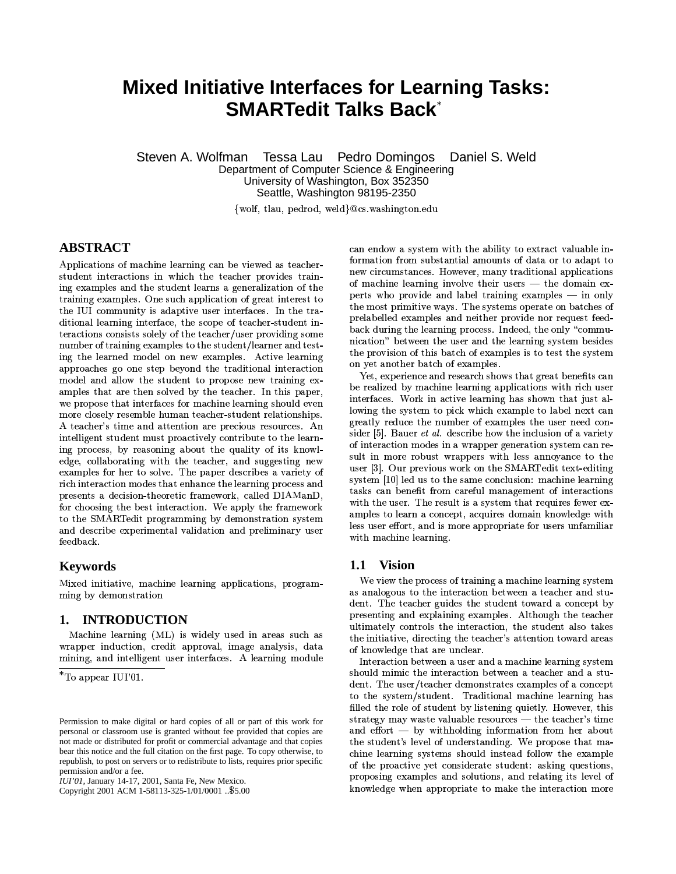# **Mixed Initiative Interfaces for Learning Tasks: SMARTedit Talks Back®**

Steven A. Wolfman Tessa Lau Pedro Domingos Daniel S. Weld Department of Computer Science & Engineering University of Washington, Box 352350 Seattle, Washington 98195-2350

{wolf, tlau, pedrod, weld}@cs.washington.edu

## **ABSTRACT**

Applications of machine learning can be viewed as teacherstudent interactions in which the teacher provides training examples and the student learns a generalization of the training examples. One such application of great interest to the IUI community is adaptive user interfaces. In the traditional learning interface, the scope of teacher-student interactions consists solely of the teacher/user providing some number of training examples to the student/learner and testing the learned model on new examples. Active learning approaches go one step beyond the traditional interaction model and allow the student to propose new training examples that are then solved by the teacher. In this paper, we propose that interfaces for machine learning should even more closely resemble human teacher-student relationships. A teacher's time and attention are precious resources. An intelligent student must proactively contribute to the learning process, by reasoning about the quality of its knowledge, collaborating with the teacher, and suggesting new examples for her to solve. The paper describes a variety of rich interaction modes that enhance the learning process and presents a decision-theoretic framework, called DIAManD, for choosing the best interaction. We apply the framework to the SMARTedit programming by demonstration system and describe experimental validation and preliminary user feedback.

### **Keywords**

Mixed initiative, machine learning applications, programming by demonstration

### 1. INTRODUCTION

Machine learning (ML) is widely used in areas such as wrapper induction, credit approval, image analysis, data mining, and intelligent user interfaces. A learning module

Copyright 2001 ACM 1-58113-325-1/01/0001 ..\$5.00

can endow a system with the ability to extract valuable information from substantial amounts of data or to adapt to new circumstances. However, many traditional applications of machine learning involve their users - the domain experts who provide and label training examples - in only the most primitive ways. The systems operate on batches of prelabelled examples and neither provide nor request feedback during the learning process. Indeed, the only "communication" between the user and the learning system besides the provision of this batch of examples is to test the system on yet another batch of examples.

Yet, experience and research shows that great benefits can be realized by machine learning applications with rich user interfaces. Work in active learning has shown that just allowing the system to pick which example to label next can greatly reduce the number of examples the user need consider [5]. Bauer et al. describe how the inclusion of a variety of interaction modes in a wrapper generation system can result in more robust wrappers with less annoyance to the user [3]. Our previous work on the SMARTedit text-editing system [10] led us to the same conclusion: machine learning tasks can benefit from careful management of interactions with the user. The result is a system that requires fewer examples to learn a concept, acquires domain knowledge with less user effort, and is more appropriate for users unfamiliar with machine learning.

### 1.1 Vision

We view the process of training a machine learning system as analogous to the interaction between a teacher and student. The teacher guides the student toward a concept by presenting and explaining examples. Although the teacher ultimately controls the interaction, the student also takes the initiative, directing the teacher's attention toward areas of knowledge that are unclear.

Interaction between a user and a machine learning system should mimic the interaction between a teacher and a student. The user/teacher demonstrates examples of a concept to the system/student. Traditional machine learning has filled the role of student by listening quietly. However, this strategy may waste valuable resources — the teacher's time and  $\text{effort}$   $\longrightarrow$  by withholding information from her about the student's level of understanding. We propose that machine learning systems should instead follow the example of the proactive yet considerate student: asking questions, proposing examples and solutions, and relating its level of knowledge when appropriate to make the interaction more

 $*$ To appear IUI'01.

Permission to make digital or hard copies of all or part of this work for personal or classroom use is granted without fee provided that copies are not made or distributed for profit or commercial advantage and that copies bear this notice and the full citation on the first page. To copy otherwise, to republish, to post on servers or to redistribute to lists, requires prior specific permission and/or a fee.

IUI'01, January 14-17, 2001, Santa Fe, New Mexico.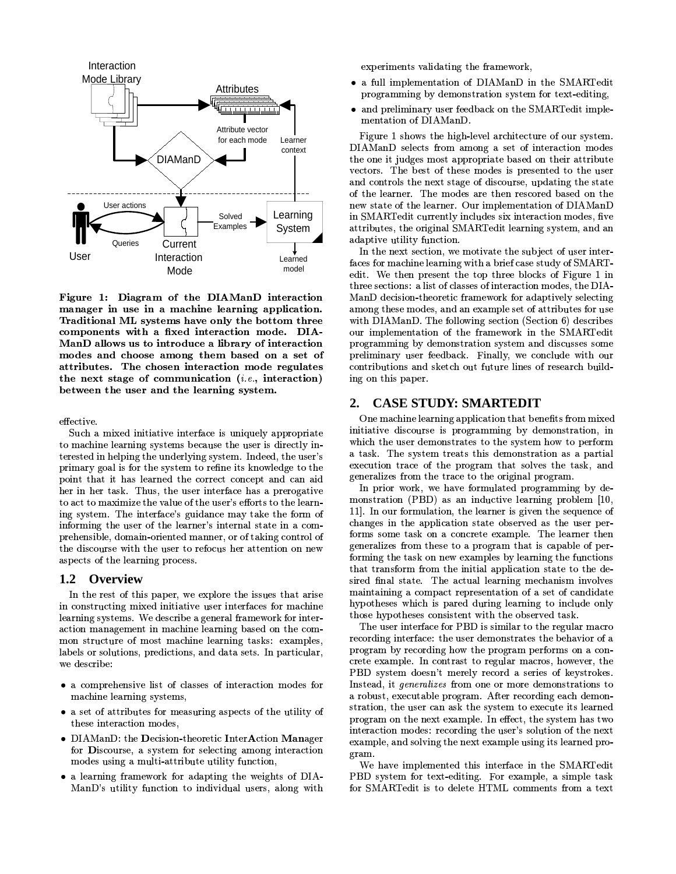

Figure 1: Diagram of the DIAManD interaction manager in use in a machine learning application. Traditional ML systems have only the bottom three components with a fixed interaction mode. DIA-ManD allows us to introduce a library of interaction modes and choose among them based on a set of attributes. The chosen interaction mode regulates the next stage of communication  $(i.e.,$  interaction) between the user and the learning system.

effective.

Such a mixed initiative interface is uniquely appropriate to machine learning systems because the user is directly interested in helping the underlying system. Indeed, the user's primary goal is for the system to refine its knowledge to the point that it has learned the correct concept and can aid her in her task. Thus, the user interface has a prerogative to act to maximize the value of the user's efforts to the learning system. The interface's guidance may take the form of informing the user of the learner's internal state in a comprehensible, domain-oriented manner, or of taking control of the discourse with the user to refocus her attention on new aspects of the learning process.

#### $1.2$ **Overview**

In the rest of this paper, we explore the issues that arise in constructing mixed initiative user interfaces for machine learning systems. We describe a general framework for interaction management in machine learning based on the common structure of most machine learning tasks: examples, labels or solutions, predictions, and data sets. In particular, we describe:

- a comprehensive list of classes of interaction modes for machine learning systems.
- a set of attributes for measuring aspects of the utility of these interaction modes,
- DIAManD: the Decision-theoretic InterAction Manager for Discourse, a system for selecting among interaction modes using a multi-attribute utility function,
- a learning framework for adapting the weights of DIA-ManD's utility function to individual users, along with

experiments validating the framework,

- a full implementation of DIAManD in the SMARTedit programming by demonstration system for text-editing,
- and preliminary user feedback on the SMARTedit implementation of DIAManD.

Figure 1 shows the high-level architecture of our system. DIAManD selects from among a set of interaction modes the one it judges most appropriate based on their attribute vectors. The best of these modes is presented to the user and controls the next stage of discourse, updating the state of the learner. The modes are then rescored based on the new state of the learner. Our implementation of DIAManD in SMARTedit currently includes six interaction modes, five attributes, the original SMARTedit learning system, and an adaptive utility function.

In the next section, we motivate the subject of user interfaces for machine learning with a brief case study of SMARTedit. We then present the top three blocks of Figure 1 in three sections: a list of classes of interaction modes, the DIA-ManD decision-theoretic framework for adaptively selecting among these modes, and an example set of attributes for use with DIAManD. The following section (Section 6) describes our implementation of the framework in the SMARTedit programming by demonstration system and discusses some preliminary user feedback. Finally, we conclude with our contributions and sketch out future lines of research building on this paper.

### **CASE STUDY: SMARTEDIT**  $2.$

One machine learning application that benefits from mixed initiative discourse is programming by demonstration, in which the user demonstrates to the system how to perform a task. The system treats this demonstration as a partial execution trace of the program that solves the task, and generalizes from the trace to the original program.

In prior work, we have formulated programming by demonstration (PBD) as an inductive learning problem [10, 11. In our formulation, the learner is given the sequence of changes in the application state observed as the user performs some task on a concrete example. The learner then generalizes from these to a program that is capable of performing the task on new examples by learning the functions that transform from the initial application state to the desired final state. The actual learning mechanism involves maintaining a compact representation of a set of candidate hypotheses which is pared during learning to include only those hypotheses consistent with the observed task.

The user interface for PBD is similar to the regular macro recording interface: the user demonstrates the behavior of a program by recording how the program performs on a concrete example. In contrast to regular macros, however, the PBD system doesn't merely record a series of keystrokes. Instead, it *generalizes* from one or more demonstrations to a robust, executable program. After recording each demonstration, the user can ask the system to execute its learned program on the next example. In effect, the system has two interaction modes: recording the user's solution of the next example, and solving the next example using its learned program.

We have implemented this interface in the SMARTedit PBD system for text-editing. For example, a simple task for SMARTedit is to delete HTML comments from a text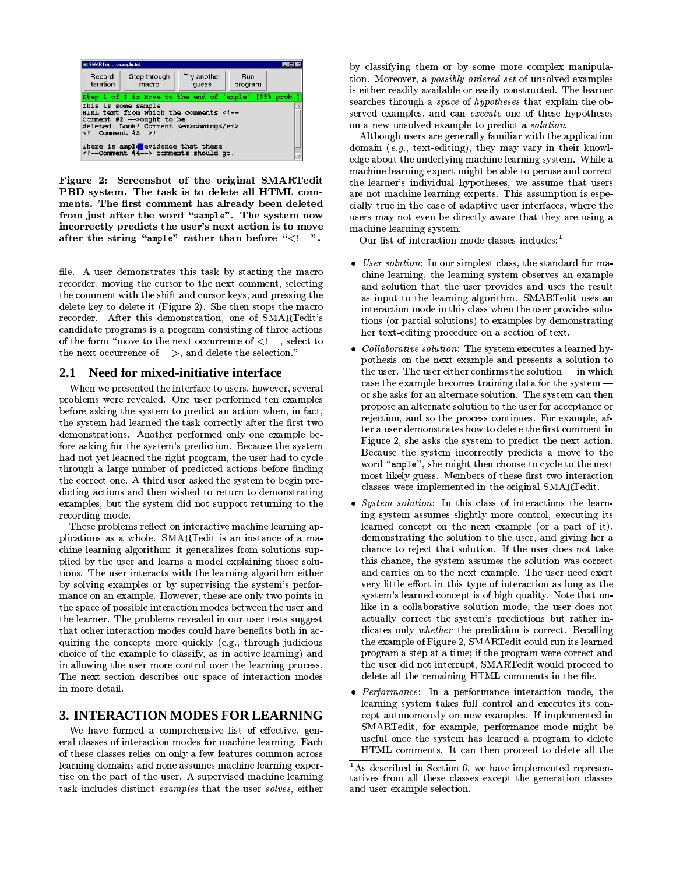| Record<br>iteration | Step through<br>macro                                                                                                                                     | Try another<br>quess | Run<br>program |  |
|---------------------|-----------------------------------------------------------------------------------------------------------------------------------------------------------|----------------------|----------------|--|
|                     | Step 1 of 3 is Move to the end of 'ample' [35% prob.]<br>This is some sample<br>HTML text from which the comments <br>Comment <math>#2</math> ought to be |                      |                |  |
|                     | deleted. Look! Comment <em>coming</em><br>$\leftarrow$ !--Comment #3-->!                                                                                  |                      |                |  |

Figure 2: Screenshot of the original SMARTedit PBD system. The task is to delete all HTML comments. The first comment has already been deleted from just after the word "sample". The system now incorrectly predicts the user's next action is to move after the string "ample" rather than before " $lt;$ !--".

file. A user demonstrates this task by starting the macro recorder, moving the cursor to the next comment, selecting the comment with the shift and cursor keys, and pressing the delete key to delete it (Figure 2). She then stops the macro recorder. After this demonstration, one of SMARTedit's candidate programs is a program consisting of three actions of the form "move to the next occurrence of  $\lt$ !--, select to the next occurrence of  $\rightarrow$ , and delete the selection."

#### 2.1 Need for mixed-initiative interface

When we presented the interface to users, however, several problems were revealed. One user performed ten examples before asking the system to predict an action when, in fact, the system had learned the task correctly after the first two demonstrations. Another performed only one example before asking for the system's prediction. Because the system had not yet learned the right program, the user had to cycle through a large number of predicted actions before finding the correct one. A third user asked the system to begin predicting actions and then wished to return to demonstrating examples, but the system did not support returning to the recording mode.

These problems reflect on interactive machine learning applications as a whole. SMARTedit is an instance of a machine learning algorithm: it generalizes from solutions supplied by the user and learns a model explaining those solutions. The user interacts with the learning algorithm either by solving examples or by supervising the system's performance on an example. However, these are only two points in the space of possible interaction modes between the user and the learner. The problems revealed in our user tests suggest that other interaction modes could have benefits both in acquiring the concepts more quickly (e.g., through judicious choice of the example to classify, as in active learning) and in allowing the user more control over the learning process. The next section describes our space of interaction modes in more detail.

### **3. INTERACTION MODES FOR LEARNING**

We have formed a comprehensive list of effective, general classes of interaction modes for machine learning. Each of these classes relies on only a few features common across learning domains and none assumes machine learning expertise on the part of the user. A supervised machine learning task includes distinct examples that the user solves, either

by classifying them or by some more complex manipulation. Moreover, a *possibly-ordered set* of unsolved examples is either readily available or easily constructed. The learner searches through a space of hypotheses that explain the observed examples, and can execute one of these hypotheses on a new unsolved example to predict a *solution*.

Although users are generally familiar with the application domain  $(e.g., text-editing),$  they may vary in their knowledge about the underlying machine learning system. While a machine learning expert might be able to peruse and correct the learner's individual hypotheses, we assume that users are not machine learning experts. This assumption is especially true in the case of adaptive user interfaces, where the users may not even be directly aware that they are using a machine learning system.

Our list of interaction mode classes includes:<sup>1</sup>

- *User solution*: In our simplest class, the standard for machine learning, the learning system observes an example and solution that the user provides and uses the result as input to the learning algorithm. SMARTedit uses an interaction mode in this class when the user provides solutions (or partial solutions) to examples by demonstrating her text-editing procedure on a section of text.
- Collaborative solution: The system executes a learned hypothesis on the next example and presents a solution to the user. The user either confirms the solution  $-\sin$  which case the example becomes training data for the system or she asks for an alternate solution. The system can then propose an alternate solution to the user for acceptance or rejection, and so the process continues. For example, after a user demonstrates how to delete the first comment in Figure 2, she asks the system to predict the next action. Because the system incorrectly predicts a move to the word "ample", she might then choose to cycle to the next most likely guess. Members of these first two interaction classes were implemented in the original SMARTedit.
- System solution: In this class of interactions the learning system assumes slightly more control, executing its learned concept on the next example (or a part of it), demonstrating the solution to the user, and giving her a chance to reject that solution. If the user does not take this chance, the system assumes the solution was correct and carries on to the next example. The user need exert very little effort in this type of interaction as long as the system's learned concept is of high quality. Note that unlike in a collaborative solution mode, the user does not actually correct the system's predictions but rather indicates only whether the prediction is correct. Recalling the example of Figure 2, SMARTedit could run its learned program a step at a time; if the program were correct and the user did not interrupt, SMARTedit would proceed to delete all the remaining HTML comments in the file.
- Performance: In a performance interaction mode, the learning system takes full control and executes its concept autonomously on new examples. If implemented in SMARTedit, for example, performance mode might be useful once the system has learned a program to delete HTML comments. It can then proceed to delete all the

 $<sup>1</sup>$ As described in Section 6, we have implemented represen-</sup> tatives from all these classes except the generation classes and user example selection.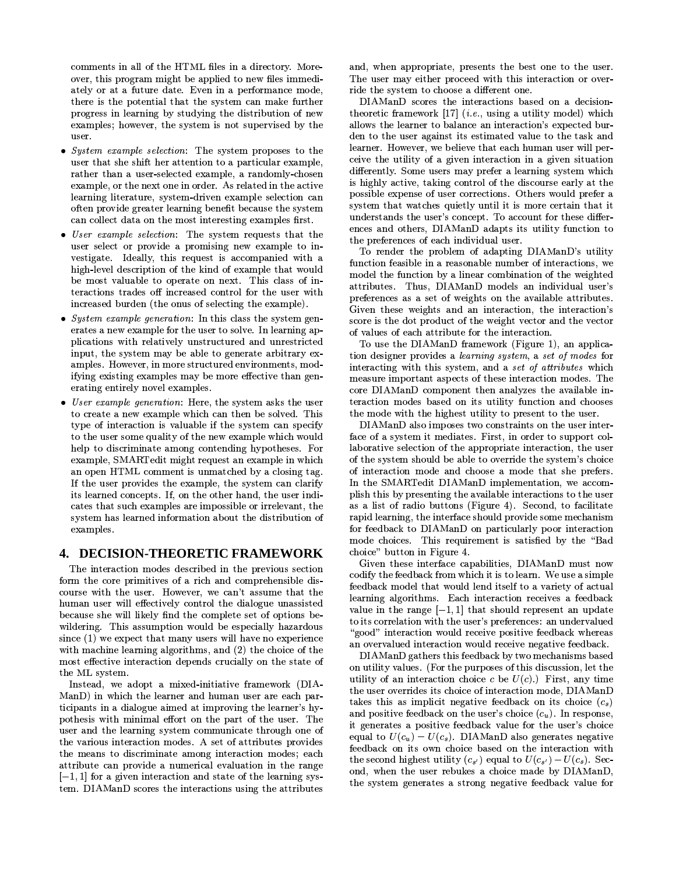comments in all of the HTML files in a directory. Moreover, this program might be applied to new files immediately or at a future date. Even in a performance mode, there is the potential that the system can make further progress in learning by studying the distribution of new examples; however, the system is not supervised by the user.

- System example selection: The system proposes to the user that she shift her attention to a particular example, rather than a user-selected example, a randomly-chosen example, or the next one in order. As related in the active learning literature, system-driven example selection can often provide greater learning benefit because the system can collect data on the most interesting examples first.
- · User example selection: The system requests that the user select or provide a promising new example to investigate. Ideally, this request is accompanied with a high-level description of the kind of example that would be most valuable to operate on next. This class of interactions trades off increased control for the user with increased burden (the onus of selecting the example).
- System example generation: In this class the system generates a new example for the user to solve. In learning applications with relatively unstructured and unrestricted input, the system may be able to generate arbitrary examples. However, in more structured environments, modifying existing examples may be more effective than generating entirely novel examples.
- $\bullet$  User example generation: Here, the system asks the user to create a new example which can then be solved. This type of interaction is valuable if the system can specify to the user some quality of the new example which would help to discriminate among contending hypotheses. For example, SMARTedit might request an example in which an open HTML comment is unmatched by a closing tag. If the user provides the example, the system can clarify its learned concepts. If, on the other hand, the user indicates that such examples are impossible or irrelevant, the system has learned information about the distribution of examples.

### **4. DECISION-THEORETIC FRAMEWORK**

The interaction modes described in the previous section form the core primitives of a rich and comprehensible discourse with the user. However, we can't assume that the human user will effectively control the dialogue unassisted because she will likely find the complete set of options bewildering. This assumption would be especially hazardous since  $(1)$  we expect that many users will have no experience with machine learning algorithms, and (2) the choice of the most effective interaction depends crucially on the state of the ML system.

Instead, we adopt a mixed-initiative framework (DIA-ManD) in which the learner and human user are each participants in a dialogue aimed at improving the learner's hypothesis with minimal effort on the part of the user. The user and the learning system communicate through one of the various interaction modes. A set of attributes provides the means to discriminate among interaction modes; each attribute can provide a numerical evaluation in the range  $[-1, 1]$  for a given interaction and state of the learning system. DIAManD scores the interactions using the attributes

and, when appropriate, presents the best one to the user. The user may either proceed with this interaction or override the system to choose a different one.

DIAManD scores the interactions based on a decisiontheoretic framework  $[17]$  (*i.e.*, using a utility model) which allows the learner to balance an interaction's expected burden to the user against its estimated value to the task and learner. However, we believe that each human user will perceive the utility of a given interaction in a given situation differently. Some users may prefer a learning system which is highly active, taking control of the discourse early at the possible expense of user corrections. Others would prefer a system that watches quietly until it is more certain that it understands the user's concept. To account for these differences and others, DIAManD adapts its utility function to the preferences of each individual user.

To render the problem of adapting DIAManD's utility function feasible in a reasonable number of interactions, we model the function by a linear combination of the weighted attributes. Thus, DIAManD models an individual user's preferences as a set of weights on the available attributes. Given these weights and an interaction, the interaction's score is the dot product of the weight vector and the vector of values of each attribute for the interaction.

To use the DIAManD framework (Figure 1), an application designer provides a learning system, a set of modes for interacting with this system, and a set of attributes which measure important aspects of these interaction modes. The core DIAManD component then analyzes the available interaction modes based on its utility function and chooses the mode with the highest utility to present to the user.

DIAManD also imposes two constraints on the user interface of a system it mediates. First, in order to support collaborative selection of the appropriate interaction, the user of the system should be able to override the system's choice of interaction mode and choose a mode that she prefers. In the SMARTedit DIAManD implementation, we accomplish this by presenting the available interactions to the user as a list of radio buttons (Figure 4). Second, to facilitate rapid learning, the interface should provide some mechanism for feedback to DIAManD on particularly poor interaction mode choices. This requirement is satisfied by the "Bad choice" button in Figure 4.

Given these interface capabilities, DIAManD must now codify the feedback from which it is to learn. We use a simple feedback model that would lend itself to a variety of actual learning algorithms. Each interaction receives a feedback value in the range  $[-1, 1]$  that should represent an update to its correlation with the user's preferences: an undervalued "good" interaction would receive positive feedback whereas an overvalued interaction would receive negative feedback.

DIAManD gathers this feedback by two mechanisms based on utility values. (For the purposes of this discussion, let the utility of an interaction choice c be  $U(c)$ .) First, any time the user overrides its choice of interaction mode, DIAManD takes this as implicit negative feedback on its choice  $(c_s)$ and positive feedback on the user's choice  $(c_u)$ . In response, it generates a positive feedback value for the user's choice equal to  $U(c_u) - U(c_s)$ . DIAManD also generates negative feedback on its own choice based on the interaction with the second highest utility  $(c_{s'})$  equal to  $U(c_{s'}) - U(c_s)$ . Second, when the user rebukes a choice made by DIAManD, the system generates a strong negative feedback value for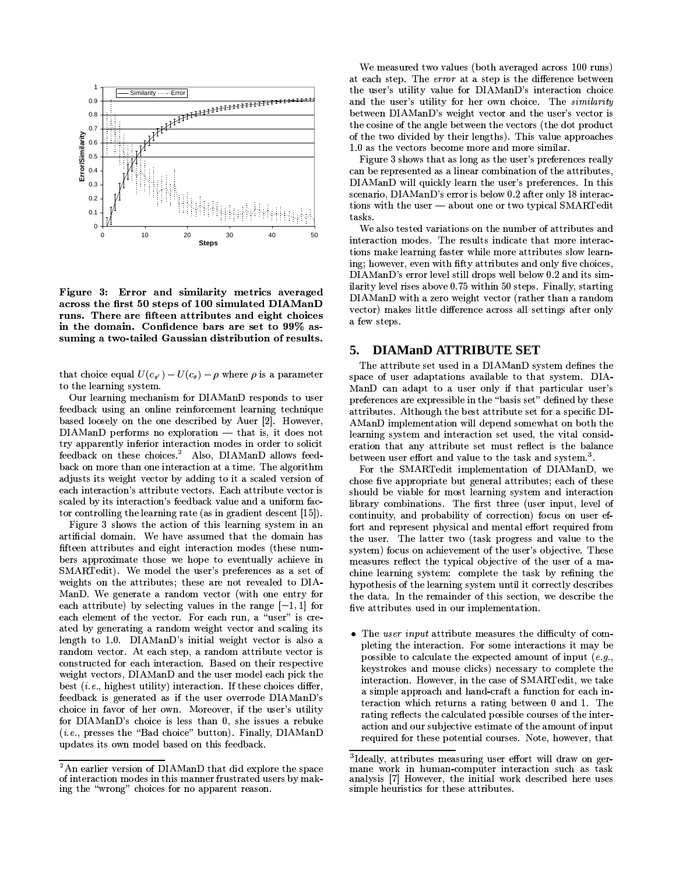

Figure 3: Error and similarity metrics averaged across the first 50 steps of 100 simulated DIAManD runs. There are fifteen attributes and eight choices in the domain. Confidence bars are set to 99% assuming a two-tailed Gaussian distribution of results.

that choice equal  $U(c_{s}) - U(c_{s}) - \rho$  where  $\rho$  is a parameter to the learning system.

Our learning mechanism for DIAManD responds to user feedback using an online reinforcement learning technique based loosely on the one described by Auer [2]. However, DIAManD performs no exploration - that is, it does not try apparently inferior interaction modes in order to solicit feedback on these choices.<sup>2</sup> Also, DIAManD allows feedback on more than one interaction at a time. The algorithm adjusts its weight vector by adding to it a scaled version of each interaction's attribute vectors. Each attribute vector is scaled by its interaction's feedback value and a uniform factor controlling the learning rate (as in gradient descent [15]).

Figure 3 shows the action of this learning system in an artificial domain. We have assumed that the domain has fifteen attributes and eight interaction modes (these numbers approximate those we hope to eventually achieve in SMARTedit). We model the user's preferences as a set of weights on the attributes; these are not revealed to DIA-ManD. We generate a random vector (with one entry for each attribute) by selecting values in the range  $[-1, 1]$  for each element of the vector. For each run, a "user" is created by generating a random weight vector and scaling its length to 1.0. DIAManD's initial weight vector is also a random vector. At each step, a random attribute vector is constructed for each interaction. Based on their respective weight vectors, DIAManD and the user model each pick the best  $(i.e.,$  highest utility) interaction. If these choices differ, feedback is generated as if the user overrode DIAManD's choice in favor of her own. Moreover, if the user's utility for DIAManD's choice is less than 0, she issues a rebuke (i.e., presses the "Bad choice" button). Finally, DIAManD updates its own model based on this feedback.

We measured two values (both averaged across 100 runs) at each step. The *error* at a step is the difference between the user's utility value for DIAManD's interaction choice and the user's utility for her own choice. The similarity between DIAManD's weight vector and the user's vector is the cosine of the angle between the vectors (the dot product of the two divided by their lengths). This value approaches 1.0 as the vectors become more and more similar.

Figure 3 shows that as long as the user's preferences really can be represented as a linear combination of the attributes, DIAManD will quickly learn the user's preferences. In this scenario, DIAManD's error is below 0.2 after only 18 interactions with the user - about one or two typical SMARTedit tasks.

We also tested variations on the number of attributes and interaction modes. The results indicate that more interactions make learning faster while more attributes slow learning; however, even with fifty attributes and only five choices, DIAManD's error level still drops well below 0.2 and its similarity level rises above 0.75 within 50 steps. Finally, starting DIAManD with a zero weight vector (rather than a random vector) makes little difference across all settings after only a few steps.

#### **DIAManD ATTRIBUTE SET** 5.

The attribute set used in a DIAManD system defines the space of user adaptations available to that system. DIA-ManD can adapt to a user only if that particular user's preferences are expressible in the "basis set" defined by these attributes. Although the best attribute set for a specific DI-AManD implementation will depend somewhat on both the learning system and interaction set used, the vital consideration that any attribute set must reflect is the balance between user effort and value to the task and system.<sup>3</sup>.

For the SMARTedit implementation of DIAManD, we chose five appropriate but general attributes; each of these should be viable for most learning system and interaction library combinations. The first three (user input, level of continuity, and probability of correction) focus on user effort and represent physical and mental effort required from the user. The latter two (task progress and value to the system) focus on achievement of the user's objective. These measures reflect the typical objective of the user of a machine learning system: complete the task by refining the hypothesis of the learning system until it correctly describes the data. In the remainder of this section, we describe the five attributes used in our implementation.

• The user input attribute measures the difficulty of completing the interaction. For some interactions it may be possible to calculate the expected amount of input  $(e,q)$ . keystrokes and mouse clicks) necessary to complete the interaction. However, in the case of SMARTedit, we take a simple approach and hand-craft a function for each interaction which returns a rating between 0 and 1. The rating reflects the calculated possible courses of the interaction and our subjective estimate of the amount of input required for these potential courses. Note, however, that

 $2$ An earlier version of DIAManD that did explore the space of interaction modes in this manner frustrated users by making the "wrong" choices for no apparent reason.

<sup>&</sup>lt;sup>3</sup>Ideally, attributes measuring user effort will draw on germane work in human-computer interaction such as task analysis [7] However, the initial work described here uses simple heuristics for these attributes.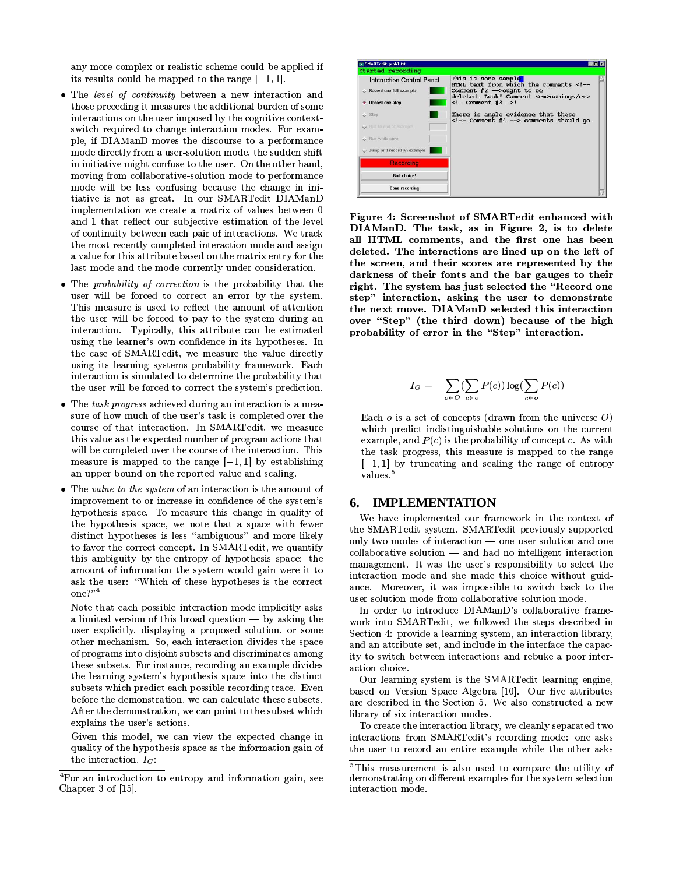any more complex or realistic scheme could be applied if its results could be mapped to the range  $[-1, 1]$ .

- The level of continuity between a new interaction and those preceding it measures the additional burden of some interactions on the user imposed by the cognitive contextswitch required to change interaction modes. For example, if DIAManD moves the discourse to a performance mode directly from a user-solution mode, the sudden shift in initiative might confuse to the user. On the other hand, moving from collaborative-solution mode to performance mode will be less confusing because the change in initiative is not as great. In our SMARTedit DIAManD implementation we create a matrix of values between 0 and 1 that reflect our subjective estimation of the level of continuity between each pair of interactions. We track the most recently completed interaction mode and assign a value for this attribute based on the matrix entry for the last mode and the mode currently under consideration.
- The probability of correction is the probability that the user will be forced to correct an error by the system. This measure is used to reflect the amount of attention the user will be forced to pay to the system during an interaction. Typically, this attribute can be estimated using the learner's own confidence in its hypotheses. In the case of SMARTedit, we measure the value directly using its learning systems probability framework. Each interaction is simulated to determine the probability that the user will be forced to correct the system's prediction.
- The task progress achieved during an interaction is a measure of how much of the user's task is completed over the course of that interaction. In SMARTedit, we measure this value as the expected number of program actions that will be completed over the course of the interaction. This measure is mapped to the range  $[-1, 1]$  by establishing an upper bound on the reported value and scaling.
- $\bullet$  The value to the system of an interaction is the amount of improvement to or increase in confidence of the system's hypothesis space. To measure this change in quality of the hypothesis space, we note that a space with fewer distinct hypotheses is less "ambiguous" and more likely to favor the correct concept. In SMARTedit, we quantify this ambiguity by the entropy of hypothesis space: the amount of information the system would gain were it to ask the user: "Which of these hypotheses is the correct one?" $4$

Note that each possible interaction mode implicitly asks a limited version of this broad question  $-$  by asking the user explicitly, displaying a proposed solution, or some other mechanism. So, each interaction divides the space of programs into disjoint subsets and discriminates among these subsets. For instance, recording an example divides the learning system's hypothesis space into the distinct subsets which predict each possible recording trace. Even before the demonstration, we can calculate these subsets. After the demonstration, we can point to the subset which explains the user's actions.

Given this model, we can view the expected change in quality of the hypothesis space as the information gain of the interaction,  $I_G$ :

| <b>X SMARTedit: prob1.txt</b> | $\Box$ DIX                                                                                                                                                                                                                                                                           |  |  |  |
|-------------------------------|--------------------------------------------------------------------------------------------------------------------------------------------------------------------------------------------------------------------------------------------------------------------------------------|--|--|--|
| Started recording             |                                                                                                                                                                                                                                                                                      |  |  |  |
| Interaction Control Panel     | This is some sample<br>HTML text from which the comments </th></tr><tr><td>Record one full example</td><td>Comment #2 <math>\rightarrow</math> pught to be<br>deleted. Look! Comment <em>coming</em></td></tr><tr><td>Record one step</td><td><math>\leftarrow</math> --Comment #3 ! |  |  |  |
| Step                          | There is ample evidence that these<br>- Comment #4 comments should go.                                                                                                                                                                                                               |  |  |  |
| Hom to end of example.        |                                                                                                                                                                                                                                                                                      |  |  |  |
| Run while sure                |                                                                                                                                                                                                                                                                                      |  |  |  |
| Jump and record an example    |                                                                                                                                                                                                                                                                                      |  |  |  |
| Recording                     |                                                                                                                                                                                                                                                                                      |  |  |  |
| <b>Bad choice!</b>            |                                                                                                                                                                                                                                                                                      |  |  |  |
| <b>Done recording</b>         |                                                                                                                                                                                                                                                                                      |  |  |  |

Figure 4: Screenshot of SMARTedit enhanced with DIAManD. The task, as in Figure 2, is to delete all HTML comments, and the first one has been deleted. The interactions are lined up on the left of the screen, and their scores are represented by the darkness of their fonts and the bar gauges to their right. The system has just selected the "Record one step" interaction, asking the user to demonstrate the next move. DIAManD selected this interaction over "Step" (the third down) because of the high probability of error in the "Step" interaction.

$$
I_G = -\sum_{o \in O} \left( \sum_{c \in o} P(c) \right) \log \left( \sum_{c \in o} P(c) \right)
$$

Each  $o$  is a set of concepts (drawn from the universe  $O$ ) which predict indistinguishable solutions on the current example, and  $P(c)$  is the probability of concept c. As with the task progress, this measure is mapped to the range  $[-1, 1]$  by truncating and scaling the range of entropy values.<sup>5</sup>

#### 6. **IMPLEMENTATION**

We have implemented our framework in the context of the SMARTedit system. SMARTedit previously supported only two modes of interaction - one user solution and one  $collaborative$  solution  $-$  and had no intelligent interaction management. It was the user's responsibility to select the interaction mode and she made this choice without guidance. Moreover, it was impossible to switch back to the user solution mode from collaborative solution mode.

In order to introduce DIAManD's collaborative framework into SMARTedit, we followed the steps described in Section 4: provide a learning system, an interaction library, and an attribute set, and include in the interface the capacity to switch between interactions and rebuke a poor interaction choice.

Our learning system is the SMARTedit learning engine, based on Version Space Algebra [10]. Our five attributes are described in the Section 5. We also constructed a new library of six interaction modes.

To create the interaction library, we cleanly separated two interactions from SMARTedit's recording mode: one asks the user to record an entire example while the other asks

 ${}^{4}$  For an introduction to entropy and information gain, see Chapter 3 of  $[15]$ .

<sup>&</sup>lt;sup>5</sup>This measurement is also used to compare the utility of demonstrating on different examples for the system selection interaction mode.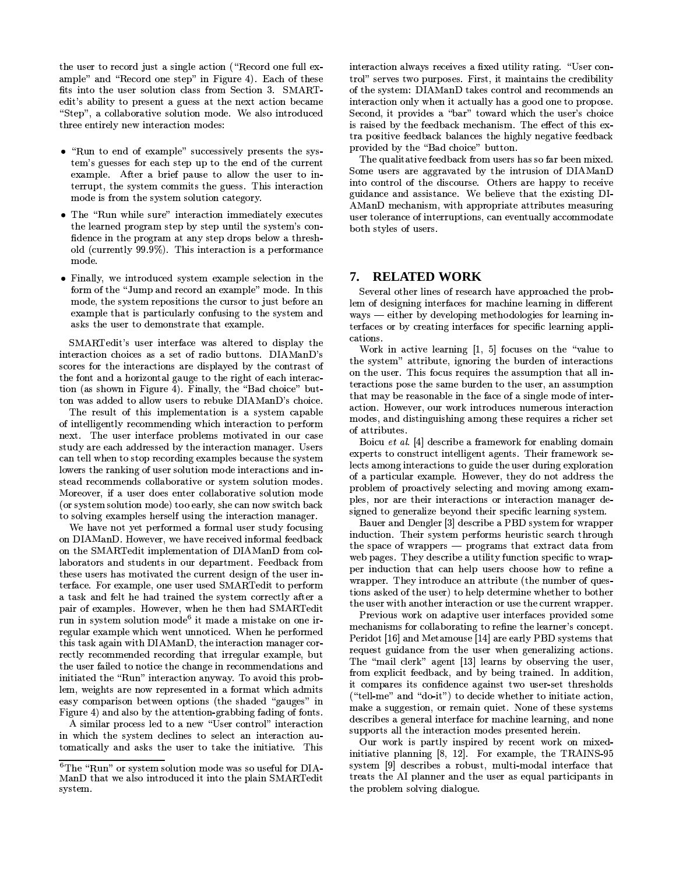the user to record just a single action ("Record one full example" and "Record one step" in Figure 4). Each of these fits into the user solution class from Section 3. SMARTedit's ability to present a guess at the next action became "Step", a collaborative solution mode. We also introduced three entirely new interaction modes:

- "Run to end of example" successively presents the system's guesses for each step up to the end of the current example. After a brief pause to allow the user to interrupt, the system commits the guess. This interaction mode is from the system solution category.
- The "Run while sure" interaction immediately executes the learned program step by step until the system's confidence in the program at any step drops below a threshold (currently 99.9%). This interaction is a performance mode.
- Finally, we introduced system example selection in the form of the "Jump and record an example" mode. In this mode, the system repositions the cursor to just before an example that is particularly confusing to the system and asks the user to demonstrate that example.

SMARTedit's user interface was altered to display the interaction choices as a set of radio buttons. DIAManD's scores for the interactions are displayed by the contrast of the font and a horizontal gauge to the right of each interaction (as shown in Figure 4). Finally, the "Bad choice" button was added to allow users to rebuke DIAManD's choice.

The result of this implementation is a system capable of intelligently recommending which interaction to perform next. The user interface problems motivated in our case study are each addressed by the interaction manager. Users can tell when to stop recording examples because the system lowers the ranking of user solution mode interactions and instead recommends collaborative or system solution modes. Moreover, if a user does enter collaborative solution mode (or system solution mode) too early, she can now switch back to solving examples herself using the interaction manager.

We have not yet performed a formal user study focusing on DIAManD. However, we have received informal feedback on the SMARTedit implementation of DIAManD from collaborators and students in our department. Feedback from these users has motivated the current design of the user interface. For example, one user used SMARTedit to perform a task and felt he had trained the system correctly after a pair of examples. However, when he then had SMARTedit run in system solution mode<sup>6</sup> it made a mistake on one irregular example which went unnoticed. When he performed this task again with DIAManD, the interaction manager correctly recommended recording that irregular example, but the user failed to notice the change in recommendations and initiated the "Run" interaction anyway. To avoid this problem, weights are now represented in a format which admits easy comparison between options (the shaded "gauges" in Figure 4) and also by the attention-grabbing fading of fonts.

A similar process led to a new "User control" interaction in which the system declines to select an interaction automatically and asks the user to take the initiative. This

interaction always receives a fixed utility rating. "User control" serves two purposes. First, it maintains the credibility of the system: DIAManD takes control and recommends an interaction only when it actually has a good one to propose. Second, it provides a "bar" toward which the user's choice is raised by the feedback mechanism. The effect of this extra positive feedback balances the highly negative feedback provided by the "Bad choice" button.

The qualitative feedback from users has so far been mixed. Some users are aggravated by the intrusion of DIAManD into control of the discourse. Others are happy to receive guidance and assistance. We believe that the existing DI-AManD mechanism, with appropriate attributes measuring user tolerance of interruptions, can eventually accommodate both styles of users.

### 7. RELATED WORK

Several other lines of research have approached the problem of designing interfaces for machine learning in different ways - either by developing methodologies for learning interfaces or by creating interfaces for specific learning applications.

Work in active learning [1, 5] focuses on the "value to the system" attribute, ignoring the burden of interactions on the user. This focus requires the assumption that all interactions pose the same burden to the user, an assumption that may be reasonable in the face of a single mode of interaction. However, our work introduces numerous interaction modes, and distinguishing among these requires a richer set of attributes.

Boicu et al. [4] describe a framework for enabling domain experts to construct intelligent agents. Their framework selects among interactions to guide the user during exploration of a particular example. However, they do not address the problem of proactively selecting and moving among examples, nor are their interactions or interaction manager designed to generalize beyond their specific learning system.

Bauer and Dengler [3] describe a PBD system for wrapper induction. Their system performs heuristic search through the space of wrappers – programs that extract data from web pages. They describe a utility function specific to wrapper induction that can help users choose how to refine a wrapper. They introduce an attribute (the number of questions asked of the user) to help determine whether to bother the user with another interaction or use the current wrapper.

Previous work on adaptive user interfaces provided some mechanisms for collaborating to refine the learner's concept. Peridot [16] and Metamouse [14] are early PBD systems that request guidance from the user when generalizing actions. The "mail clerk" agent [13] learns by observing the user, from explicit feedback, and by being trained. In addition, it compares its confidence against two user-set thresholds ("tell-me" and "do-it") to decide whether to initiate action, make a suggestion, or remain quiet. None of these systems describes a general interface for machine learning, and none supports all the interaction modes presented herein.

Our work is partly inspired by recent work on mixedinitiative planning [8, 12]. For example, the TRAINS-95 system [9] describes a robust, multi-modal interface that treats the AI planner and the user as equal participants in the problem solving dialogue.

<sup>&</sup>lt;sup>6</sup>The "Run" or system solution mode was so useful for DIA-ManD that we also introduced it into the plain SMARTedit system.